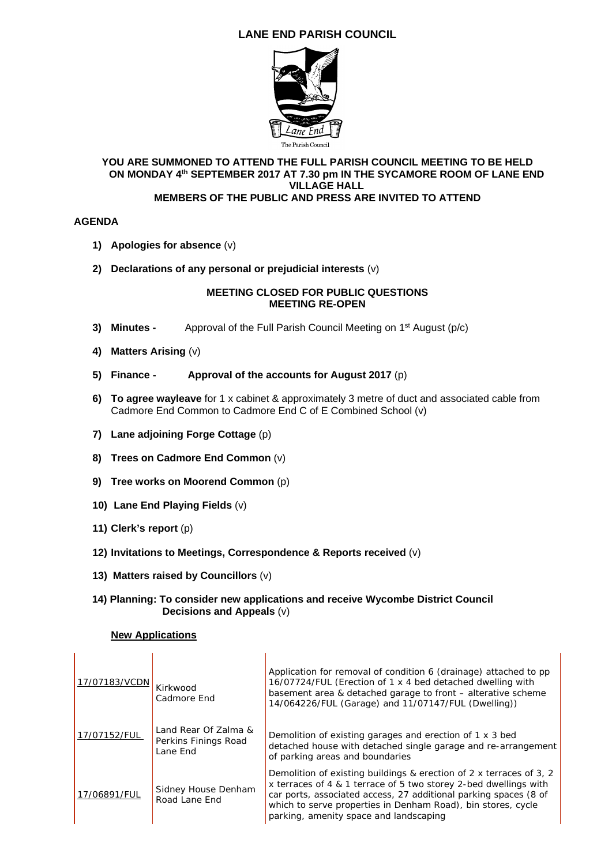# **LANE END PARISH COUNCIL**



#### **YOU ARE SUMMONED TO ATTEND THE FULL PARISH COUNCIL MEETING TO BE HELD ON MONDAY 4th SEPTEMBER 2017 AT 7.30 pm IN THE SYCAMORE ROOM OF LANE END VILLAGE HALL MEMBERS OF THE PUBLIC AND PRESS ARE INVITED TO ATTEND**

### **AGENDA**

- **1) Apologies for absence** (v)
- **2) Declarations of any personal or prejudicial interests** (v)

### **MEETING CLOSED FOR PUBLIC QUESTIONS MEETING RE-OPEN**

- **3) Minutes -** Approval of the Full Parish Council Meeting on 1st August (p/c)
- **4) Matters Arising** (v)
- **5) Finance Approval of the accounts for August 2017** (p)
- **6) To agree wayleave** for 1 x cabinet & approximately 3 metre of duct and associated cable from Cadmore End Common to Cadmore End C of E Combined School (v)
- **7) Lane adjoining Forge Cottage** (p)
- **8) Trees on Cadmore End Common** (v)
- **9) Tree works on Moorend Common** (p)
- **10) Lane End Playing Fields** (v)
- **11) Clerk's report** (p)
- **12) Invitations to Meetings, Correspondence & Reports received** (v)

h.

- **13) Matters raised by Councillors** (v)
- **14) Planning: To consider new applications and receive Wycombe District Council Decisions and Appeals** (v)

#### **New Applications**

| 17/07183/VCDN | Kirkwood<br>Cadmore End                                  | Application for removal of condition 6 (drainage) attached to pp<br>16/07724/FUL (Erection of 1 x 4 bed detached dwelling with<br>basement area & detached garage to front - alterative scheme<br>14/064226/FUL (Garage) and 11/07147/FUL (Dwelling))                                                                 |
|---------------|----------------------------------------------------------|-----------------------------------------------------------------------------------------------------------------------------------------------------------------------------------------------------------------------------------------------------------------------------------------------------------------------|
| 17/07152/FUL  | Land Rear Of Zalma &<br>Perkins Finings Road<br>Lane End | Demolition of existing garages and erection of 1 x 3 bed<br>detached house with detached single garage and re-arrangement<br>of parking areas and boundaries                                                                                                                                                          |
| 17/06891/FUL  | Sidney House Denham<br>Road Lane End                     | Demolition of existing buildings & erection of 2 x terraces of 3, 2<br>x terraces of 4 & 1 terrace of 5 two storey 2-bed dwellings with<br>car ports, associated access, 27 additional parking spaces (8 of<br>which to serve properties in Denham Road), bin stores, cycle<br>parking, amenity space and landscaping |